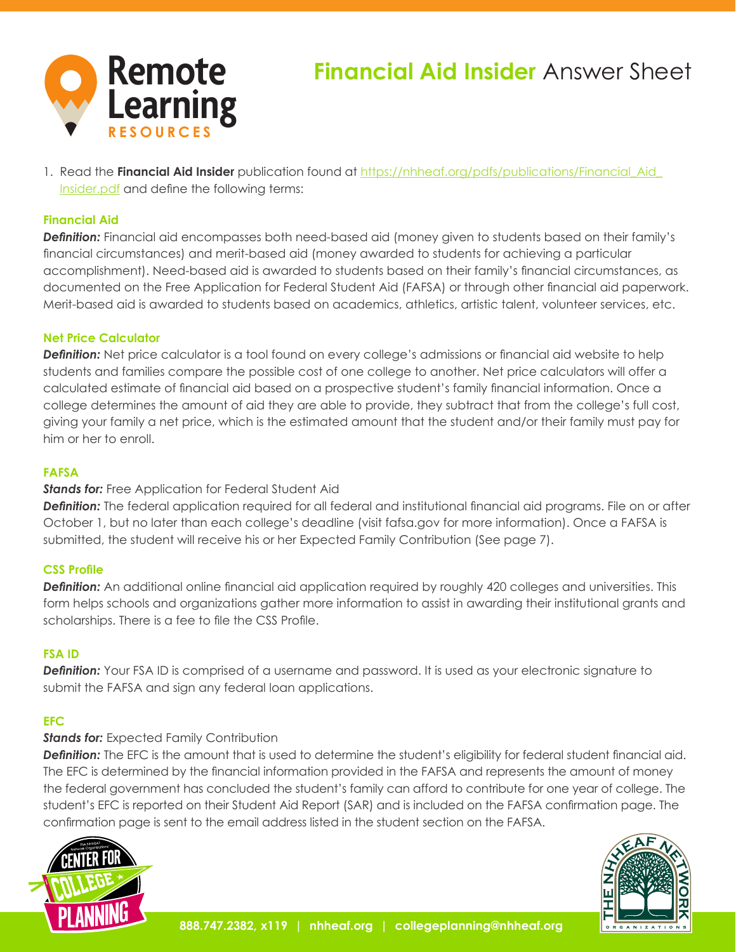

# **Financial Aid Insider** Answer Sheet

1. Read the **Financial Aid Insider** publication found at https://nhheaf.org/pdfs/publications/Financial Aid\_ [Insider.pdf](https://nhheaf.org/pdfs/publications/Financial_Aid_Insider.pdf) and define the following terms:

## **Financial Aid**

*Definition:* Financial aid encompasses both need-based aid (money given to students based on their family's financial circumstances) and merit-based aid (money awarded to students for achieving a particular accomplishment). Need-based aid is awarded to students based on their family's financial circumstances, as documented on the Free Application for Federal Student Aid (FAFSA) or through other financial aid paperwork. Merit-based aid is awarded to students based on academics, athletics, artistic talent, volunteer services, etc.

## **Net Price Calculator**

**Definition:** Net price calculator is a tool found on every college's admissions or financial aid website to help students and families compare the possible cost of one college to another. Net price calculators will offer a calculated estimate of financial aid based on a prospective student's family financial information. Once a college determines the amount of aid they are able to provide, they subtract that from the college's full cost, giving your family a net price, which is the estimated amount that the student and/or their family must pay for him or her to enroll.

## **FAFSA**

## *Stands for:* Free Application for Federal Student Aid

*Definition:* The federal application required for all federal and institutional financial aid programs. File on or after October 1, but no later than each college's deadline (visit fafsa.gov for more information). Once a FAFSA is submitted, the student will receive his or her Expected Family Contribution (See page 7).

## **CSS Profile**

*Definition:* An additional online financial aid application required by roughly 420 colleges and universities. This form helps schools and organizations gather more information to assist in awarding their institutional grants and scholarships. There is a fee to file the CSS Profile.

## **FSA ID**

**Definition:** Your FSA ID is comprised of a username and password. It is used as your electronic signature to submit the FAFSA and sign any federal loan applications.

## **EFC**

## *Stands for: Expected Family Contribution*

**Definition:** The EFC is the amount that is used to determine the student's eligibility for federal student financial aid. The EFC is determined by the financial information provided in the FAFSA and represents the amount of money the federal government has concluded the student's family can afford to contribute for one year of college. The student's EFC is reported on their Student Aid Report (SAR) and is included on the FAFSA confirmation page. The confirmation page is sent to the email address listed in the student section on the FAFSA.